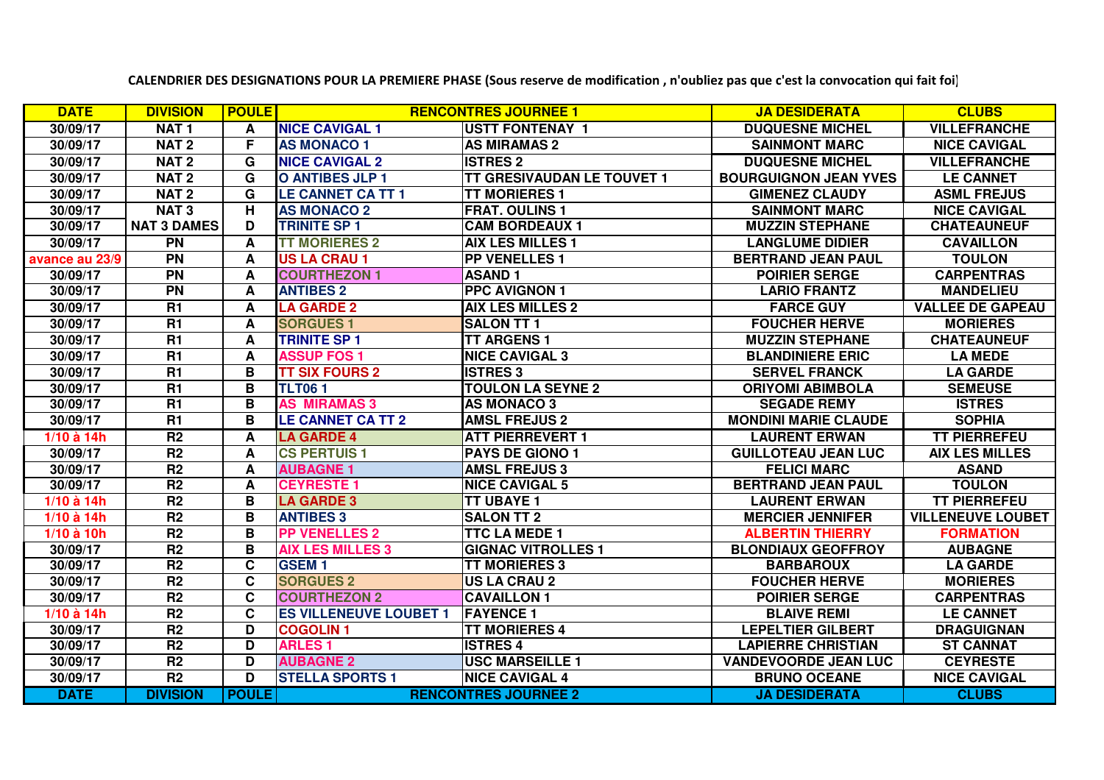| <b>DATE</b>    | <b>DIVISION</b>    | <b>POULE</b> |                               | <b>RENCONTRES JOURNEE 1</b>       | <b>JA DESIDERATA</b>         | <b>CLUBS</b>             |
|----------------|--------------------|--------------|-------------------------------|-----------------------------------|------------------------------|--------------------------|
| 30/09/17       | <b>NAT1</b>        | A            | <b>NICE CAVIGAL 1</b>         | <b>IUSTT FONTENAY 1</b>           | <b>DUQUESNE MICHEL</b>       | <b>VILLEFRANCHE</b>      |
| 30/09/17       | NAT <sub>2</sub>   | F            | <b>AS MONACO 1</b>            | <b>AS MIRAMAS 2</b>               | <b>SAINMONT MARC</b>         | <b>NICE CAVIGAL</b>      |
| 30/09/17       | NAT <sub>2</sub>   | G            | <b>NICE CAVIGAL 2</b>         | <b>ISTRES 2</b>                   | <b>DUQUESNE MICHEL</b>       | <b>VILLEFRANCHE</b>      |
| 30/09/17       | NAT <sub>2</sub>   | G            | <b>O ANTIBES JLP 1</b>        | <b>TT GRESIVAUDAN LE TOUVET 1</b> | <b>BOURGUIGNON JEAN YVES</b> | <b>LE CANNET</b>         |
| 30/09/17       | NAT <sub>2</sub>   | G            | <b>LE CANNET CA TT 1</b>      | <b>TT MORIERES 1</b>              | <b>GIMENEZ CLAUDY</b>        | <b>ASML FREJUS</b>       |
| 30/09/17       | <b>NAT3</b>        | н            | <b>AS MONACO 2</b>            | <b>FRAT. OULINS 1</b>             | <b>SAINMONT MARC</b>         | <b>NICE CAVIGAL</b>      |
| 30/09/17       | <b>NAT 3 DAMES</b> | D            | <b>TRINITE SP 1</b>           | <b>CAM BORDEAUX 1</b>             | <b>MUZZIN STEPHANE</b>       | <b>CHATEAUNEUF</b>       |
| 30/09/17       | $\overline{PN}$    | A            | <b>TT MORIERES 2</b>          | <b>AIX LES MILLES 1</b>           | <b>LANGLUME DIDIER</b>       | <b>CAVAILLON</b>         |
| avance au 23/9 | <b>PN</b>          | A            | <b>US LA CRAU 1</b>           | <b>PP VENELLES 1</b>              | <b>BERTRAND JEAN PAUL</b>    | <b>TOULON</b>            |
| 30/09/17       | <b>PN</b>          | A            | <b>COURTHEZON 1</b>           | <b>ASAND1</b>                     | <b>POIRIER SERGE</b>         | <b>CARPENTRAS</b>        |
| 30/09/17       | <b>PN</b>          | A            | <b>ANTIBES 2</b>              | <b>PPC AVIGNON 1</b>              | <b>LARIO FRANTZ</b>          | <b>MANDELIEU</b>         |
| 30/09/17       | R1                 | A            | <b>LA GARDE 2</b>             | <b>AIX LES MILLES 2</b>           | <b>FARCE GUY</b>             | <b>VALLEE DE GAPEAU</b>  |
| 30/09/17       | R1                 | A            | <b>SORGUES 1</b>              | <b>SALON TT 1</b>                 | <b>FOUCHER HERVE</b>         | <b>MORIERES</b>          |
| 30/09/17       | <b>R1</b>          | A            | <b>TRINITE SP 1</b>           | <b>TT ARGENS 1</b>                | <b>MUZZIN STEPHANE</b>       | <b>CHATEAUNEUF</b>       |
| 30/09/17       | R1                 | A            | <b>ASSUP FOS 1</b>            | <b>NICE CAVIGAL 3</b>             | <b>BLANDINIERE ERIC</b>      | <b>LA MEDE</b>           |
| 30/09/17       | R1                 | B            | <b>TT SIX FOURS 2</b>         | <b>ISTRES 3</b>                   | <b>SERVEL FRANCK</b>         | <b>LA GARDE</b>          |
| 30/09/17       | <b>R1</b>          | B            | <b>TLT061</b>                 | <b>TOULON LA SEYNE 2</b>          | <b>ORIYOMI ABIMBOLA</b>      | <b>SEMEUSE</b>           |
| 30/09/17       | R1                 | B            | <b>AS MIRAMAS 3</b>           | <b>AS MONACO 3</b>                | <b>SEGADE REMY</b>           | <b>ISTRES</b>            |
| 30/09/17       | R1                 | B            | <b>LE CANNET CA TT 2</b>      | <b>AMSL FREJUS 2</b>              | <b>MONDINI MARIE CLAUDE</b>  | <b>SOPHIA</b>            |
| 1/10 à 14h     | R <sub>2</sub>     | A            | <b>LA GARDE 4</b>             | <b>ATT PIERREVERT 1</b>           | <b>LAURENT ERWAN</b>         | <b>TT PIERREFEU</b>      |
| 30/09/17       | R <sub>2</sub>     | A            | <b>CS PERTUIS 1</b>           | <b>PAYS DE GIONO 1</b>            | <b>GUILLOTEAU JEAN LUC</b>   | <b>AIX LES MILLES</b>    |
| 30/09/17       | R <sub>2</sub>     | A            | <b>AUBAGNE 1</b>              | <b>AMSL FREJUS 3</b>              | <b>FELICI MARC</b>           | <b>ASAND</b>             |
| 30/09/17       | R <sub>2</sub>     | A            | <b>CEYRESTE 1</b>             | <b>NICE CAVIGAL 5</b>             | <b>BERTRAND JEAN PAUL</b>    | <b>TOULON</b>            |
| 1/10 à 14h     | R <sub>2</sub>     | B            | <b>LA GARDE 3</b>             | <b>TT UBAYE 1</b>                 | <b>LAURENT ERWAN</b>         | <b>TT PIERREFEU</b>      |
| 1/10 à 14h     | R <sub>2</sub>     | B            | <b>ANTIBES 3</b>              | <b>SALON TT 2</b>                 | <b>MERCIER JENNIFER</b>      | <b>VILLENEUVE LOUBET</b> |
| 1/10 à 10h     | R <sub>2</sub>     | B            | <b>PP VENELLES 2</b>          | <b>TTC LA MEDE 1</b>              | <b>ALBERTIN THIERRY</b>      | <b>FORMATION</b>         |
| 30/09/17       | R <sub>2</sub>     | B            | <b>AIX LES MILLES 3</b>       | <b>GIGNAC VITROLLES 1</b>         | <b>BLONDIAUX GEOFFROY</b>    | <b>AUBAGNE</b>           |
| 30/09/17       | R <sub>2</sub>     | C            | <b>GSEM1</b>                  | <b>TT MORIERES 3</b>              | <b>BARBAROUX</b>             | <b>LA GARDE</b>          |
| 30/09/17       | R <sub>2</sub>     | C            | <b>SORGUES 2</b>              | <b>US LA CRAU 2</b>               | <b>FOUCHER HERVE</b>         | <b>MORIERES</b>          |
| 30/09/17       | R <sub>2</sub>     | C            | <b>COURTHEZON 2</b>           | <b>CAVAILLON 1</b>                | <b>POIRIER SERGE</b>         | <b>CARPENTRAS</b>        |
| 1/10 à 14h     | R <sub>2</sub>     | C            | <b>ES VILLENEUVE LOUBET 1</b> | <b>FAYENCE 1</b>                  | <b>BLAIVE REMI</b>           | <b>LE CANNET</b>         |
| 30/09/17       | R <sub>2</sub>     | D            | <b>COGOLIN1</b>               | <b>TT MORIERES 4</b>              | <b>LEPELTIER GILBERT</b>     | <b>DRAGUIGNAN</b>        |
| 30/09/17       | R <sub>2</sub>     | D            | <b>ARLES1</b>                 | <b>ISTRES 4</b>                   | <b>LAPIERRE CHRISTIAN</b>    | <b>ST CANNAT</b>         |
| 30/09/17       | R <sub>2</sub>     | D            | <b>AUBAGNE 2</b>              | <b>USC MARSEILLE 1</b>            | <b>VANDEVOORDE JEAN LUC</b>  | <b>CEYRESTE</b>          |
| 30/09/17       | R <sub>2</sub>     | D            | <b>STELLA SPORTS 1</b>        | <b>NICE CAVIGAL 4</b>             | <b>BRUNO OCEANE</b>          | <b>NICE CAVIGAL</b>      |
| <b>DATE</b>    | <b>DIVISION</b>    | <b>POULE</b> |                               | <b>RENCONTRES JOURNEE 2</b>       | <b>JA DESIDERATA</b>         | <b>CLUBS</b>             |

**CALENDRIER DES DESIGNATIONS POUR LA PREMIERE PHASE (Sous reserve de modification , n'oubliez pas que c'est la convocation qui fait foi)**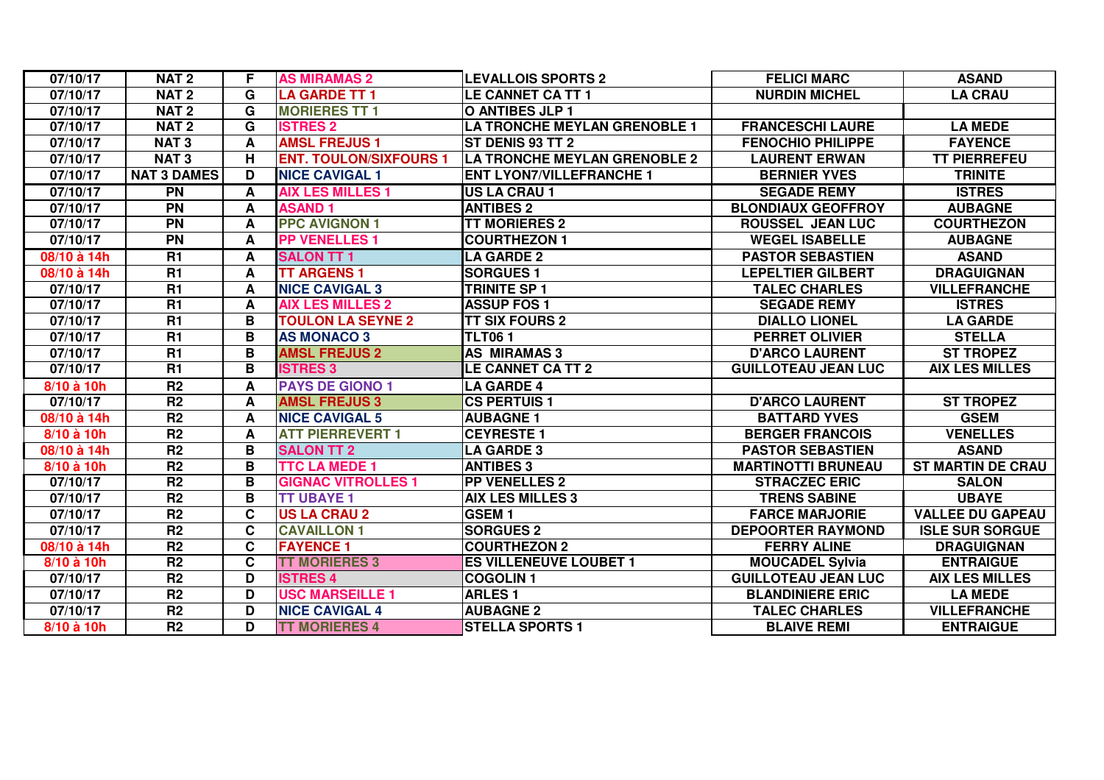| 07/10/17       | NAT <sub>2</sub>   | F | <b>AS MIRAMAS 2</b>           | <b>LEVALLOIS SPORTS 2</b>           | <b>FELICI MARC</b>         | <b>ASAND</b>             |
|----------------|--------------------|---|-------------------------------|-------------------------------------|----------------------------|--------------------------|
| 07/10/17       | <b>NAT2</b>        | G | <b>LA GARDE TT 1</b>          | LE CANNET CA TT 1                   | <b>NURDIN MICHEL</b>       | <b>LA CRAU</b>           |
| 07/10/17       | <b>NAT2</b>        | G | <b>MORIERES TT 1</b>          | <b>O ANTIBES JLP 1</b>              |                            |                          |
| 07/10/17       | <b>NAT2</b>        | G | <b>ISTRES 2</b>               | <b>LA TRONCHE MEYLAN GRENOBLE 1</b> | <b>FRANCESCHI LAURE</b>    | <b>LA MEDE</b>           |
| 07/10/17       | <b>NAT3</b>        | A | <b>AMSL FREJUS1</b>           | ST DENIS 93 TT 2                    | <b>FENOCHIO PHILIPPE</b>   | <b>FAYENCE</b>           |
| 07/10/17       | <b>NAT3</b>        | н | <b>ENT. TOULON/SIXFOURS 1</b> | <b>LA TRONCHE MEYLAN GRENOBLE 2</b> | <b>LAURENT ERWAN</b>       | <b>TT PIERREFEU</b>      |
| 07/10/17       | <b>NAT 3 DAMES</b> | D | <b>NICE CAVIGAL 1</b>         | <b>ENT LYON7/VILLEFRANCHE 1</b>     | <b>BERNIER YVES</b>        | <b>TRINITE</b>           |
| 07/10/17       | $\overline{PN}$    | A | <b>AIX LES MILLES 1</b>       | <b>US LA CRAU 1</b>                 | <b>SEGADE REMY</b>         | <b>ISTRES</b>            |
| 07/10/17       | <b>PN</b>          | A | <b>ASAND1</b>                 | <b>ANTIBES 2</b>                    | <b>BLONDIAUX GEOFFROY</b>  | <b>AUBAGNE</b>           |
| 07/10/17       | <b>PN</b>          | A | <b>PPC AVIGNON 1</b>          | <b>TT MORIERES 2</b>                | <b>ROUSSEL JEAN LUC</b>    | <b>COURTHEZON</b>        |
| 07/10/17       | <b>PN</b>          | A | <b>PP VENELLES 1</b>          | <b>COURTHEZON 1</b>                 | <b>WEGEL ISABELLE</b>      | <b>AUBAGNE</b>           |
| 08/10 à 14h    | $\overline{R1}$    | A | <b>SALON TT 1</b>             | <b>LA GARDE 2</b>                   | <b>PASTOR SEBASTIEN</b>    | <b>ASAND</b>             |
| 08/10 à 14h    | R1                 | A | <b>TT ARGENS 1</b>            | <b>SORGUES 1</b>                    | <b>LEPELTIER GILBERT</b>   | <b>DRAGUIGNAN</b>        |
| 07/10/17       | <b>R1</b>          | A | <b>NICE CAVIGAL 3</b>         | <b>TRINITE SP 1</b>                 | <b>TALEC CHARLES</b>       | <b>VILLEFRANCHE</b>      |
| 07/10/17       | <b>R1</b>          | A | <b>AIX LES MILLES 2</b>       | <b>ASSUP FOS 1</b>                  | <b>SEGADE REMY</b>         | <b>ISTRES</b>            |
| 07/10/17       | <b>R1</b>          | B | <b>TOULON LA SEYNE 2</b>      | <b>TT SIX FOURS 2</b>               | <b>DIALLO LIONEL</b>       | <b>LA GARDE</b>          |
| 07/10/17       | <b>R1</b>          | B | <b>AS MONACO 3</b>            | <b>TLT061</b>                       | <b>PERRET OLIVIER</b>      | <b>STELLA</b>            |
| 07/10/17       | <b>R1</b>          | B | <b>AMSL FREJUS 2</b>          | <b>AS MIRAMAS 3</b>                 | <b>D'ARCO LAURENT</b>      | <b>ST TROPEZ</b>         |
| 07/10/17       | R1                 | B | <b>ISTRES 3</b>               | <b>LE CANNET CA TT 2</b>            | <b>GUILLOTEAU JEAN LUC</b> | <b>AIX LES MILLES</b>    |
| 8/10 à 10h     | R <sub>2</sub>     | A | <b>PAYS DE GIONO 1</b>        | <b>LA GARDE 4</b>                   |                            |                          |
| 07/10/17       | R <sub>2</sub>     | A | <b>AMSL FREJUS 3</b>          | <b>CS PERTUIS 1</b>                 | <b>D'ARCO LAURENT</b>      | <b>ST TROPEZ</b>         |
| 08/10 à 14h    | R <sub>2</sub>     | A | <b>NICE CAVIGAL 5</b>         | <b>AUBAGNE 1</b>                    | <b>BATTARD YVES</b>        | <b>GSEM</b>              |
| 8/10 à 10h     | R <sub>2</sub>     | A | <b>ATT PIERREVERT 1</b>       | <b>CEYRESTE 1</b>                   | <b>BERGER FRANCOIS</b>     | <b>VENELLES</b>          |
| 08/10 à 14h    | R <sub>2</sub>     | В | <b>SALON TT 2</b>             | <b>LA GARDE 3</b>                   | <b>PASTOR SEBASTIEN</b>    | <b>ASAND</b>             |
| 8/10 à 10h     | R <sub>2</sub>     | B | <b>TTC LA MEDE 1</b>          | <b>ANTIBES 3</b>                    | <b>MARTINOTTI BRUNEAU</b>  | <b>ST MARTIN DE CRAU</b> |
| 07/10/17       | R <sub>2</sub>     | B | <b>GIGNAC VITROLLES 1</b>     | <b>PP VENELLES 2</b>                | <b>STRACZEC ERIC</b>       | <b>SALON</b>             |
| 07/10/17       | R <sub>2</sub>     | B | <b>TT UBAYE 1</b>             | <b>AIX LES MILLES 3</b>             | <b>TRENS SABINE</b>        | <b>UBAYE</b>             |
| 07/10/17       | R <sub>2</sub>     | C | <b>US LA CRAU 2</b>           | <b>GSEM1</b>                        | <b>FARCE MARJORIE</b>      | <b>VALLEE DU GAPEAU</b>  |
| 07/10/17       | R <sub>2</sub>     | C | <b>CAVAILLON 1</b>            | <b>SORGUES 2</b>                    | <b>DEPOORTER RAYMOND</b>   | <b>ISLE SUR SORGUE</b>   |
| 08/10 à 14h    | R <sub>2</sub>     | C | <b>FAYENCE 1</b>              | <b>COURTHEZON 2</b>                 | <b>FERRY ALINE</b>         | <b>DRAGUIGNAN</b>        |
| $8/10$ à $10h$ | R <sub>2</sub>     | C | <b>TT MORIERES 3</b>          | <b>ES VILLENEUVE LOUBET 1</b>       | <b>MOUCADEL Sylvia</b>     | <b>ENTRAIGUE</b>         |
| 07/10/17       | R <sub>2</sub>     | D | <b>ISTRES 4</b>               | <b>COGOLIN1</b>                     | <b>GUILLOTEAU JEAN LUC</b> | <b>AIX LES MILLES</b>    |
| 07/10/17       | R <sub>2</sub>     | D | <b>USC MARSEILLE 1</b>        | <b>ARLES1</b>                       | <b>BLANDINIERE ERIC</b>    | <b>LA MEDE</b>           |
| 07/10/17       | R2                 | D | <b>NICE CAVIGAL 4</b>         | <b>AUBAGNE 2</b>                    | <b>TALEC CHARLES</b>       | <b>VILLEFRANCHE</b>      |
| 8/10 à 10h     | R <sub>2</sub>     | D | <b>TT MORIERES 4</b>          | <b>STELLA SPORTS 1</b>              | <b>BLAIVE REMI</b>         | <b>ENTRAIGUE</b>         |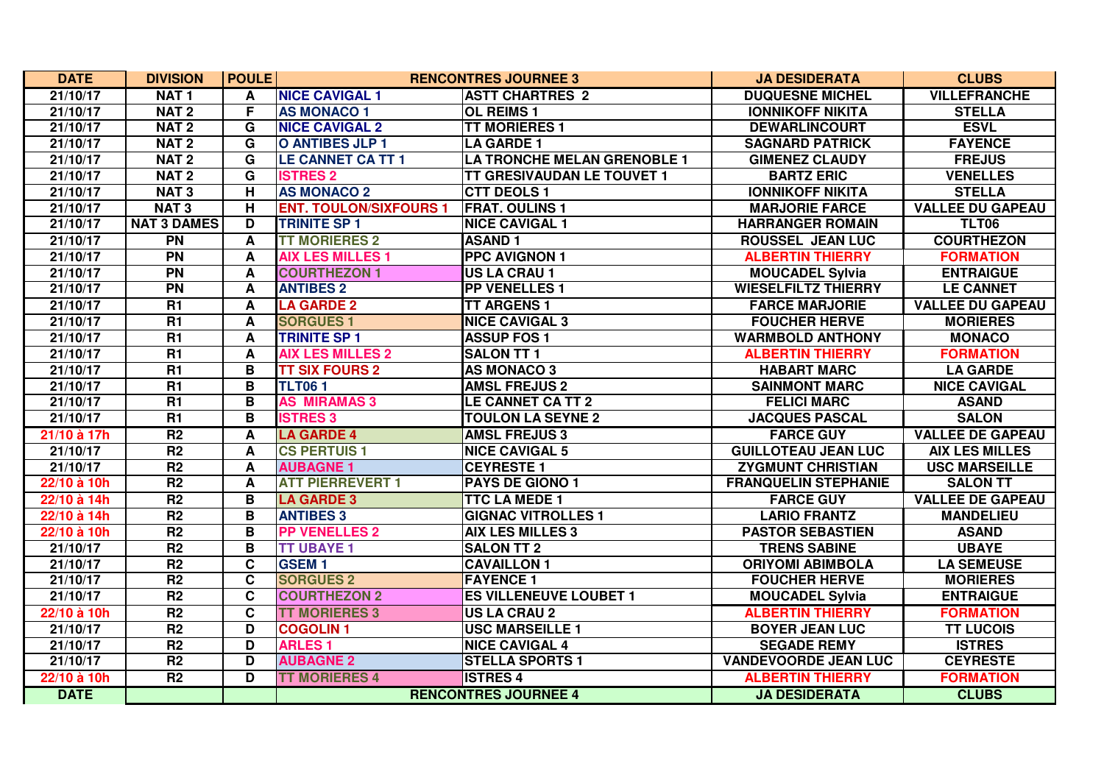| <b>DATE</b> | <b>DIVISION</b>    | <b>POULE</b>     |                               | <b>RENCONTRES JOURNEE 3</b>        | <b>JA DESIDERATA</b>        | <b>CLUBS</b>            |
|-------------|--------------------|------------------|-------------------------------|------------------------------------|-----------------------------|-------------------------|
| 21/10/17    | NAT <sub>1</sub>   | A                | <b>NICE CAVIGAL 1</b>         | <b>ASTT CHARTRES 2</b>             | <b>DUQUESNE MICHEL</b>      | <b>VILLEFRANCHE</b>     |
| 21/10/17    | NAT <sub>2</sub>   | F                | <b>AS MONACO 1</b>            | <b>OL REIMS 1</b>                  | <b>IONNIKOFF NIKITA</b>     | <b>STELLA</b>           |
| 21/10/17    | NAT <sub>2</sub>   | G                | <b>NICE CAVIGAL 2</b>         | <b>TT MORIERES 1</b>               | <b>DEWARLINCOURT</b>        | <b>ESVL</b>             |
| 21/10/17    | <b>NAT2</b>        | G                | <b>O ANTIBES JLP 1</b>        | <b>LA GARDE 1</b>                  | <b>SAGNARD PATRICK</b>      | <b>FAYENCE</b>          |
| 21/10/17    | NAT <sub>2</sub>   | G                | <b>LE CANNET CA TT 1</b>      | <b>LA TRONCHE MELAN GRENOBLE 1</b> | <b>GIMENEZ CLAUDY</b>       | <b>FREJUS</b>           |
| 21/10/17    | NAT <sub>2</sub>   | G                | <b>ISTRES 2</b>               | <b>TT GRESIVAUDAN LE TOUVET 1</b>  | <b>BARTZ ERIC</b>           | <b>VENELLES</b>         |
| 21/10/17    | NAT <sub>3</sub>   | H                | <b>AS MONACO 2</b>            | <b>CTT DEOLS 1</b>                 | <b>IONNIKOFF NIKITA</b>     | <b>STELLA</b>           |
| 21/10/17    | <b>NAT3</b>        | H                | <b>ENT. TOULON/SIXFOURS 1</b> | <b>FRAT. OULINS 1</b>              | <b>MARJORIE FARCE</b>       | <b>VALLEE DU GAPEAU</b> |
| 21/10/17    | <b>NAT 3 DAMES</b> | D                | <b>TRINITE SP 1</b>           | <b>NICE CAVIGAL 1</b>              | <b>HARRANGER ROMAIN</b>     | <b>TLT06</b>            |
| 21/10/17    | <b>PN</b>          | $\boldsymbol{A}$ | <b>TT MORIERES 2</b>          | <b>ASAND1</b>                      | <b>ROUSSEL JEAN LUC</b>     | <b>COURTHEZON</b>       |
| 21/10/17    | $\overline{PN}$    | A                | <b>AIX LES MILLES 1</b>       | <b>PPC AVIGNON 1</b>               | <b>ALBERTIN THIERRY</b>     | <b>FORMATION</b>        |
| 21/10/17    | $\overline{PN}$    | A                | <b>COURTHEZON 1</b>           | <b>US LA CRAU 1</b>                | <b>MOUCADEL Sylvia</b>      | <b>ENTRAIGUE</b>        |
| 21/10/17    | $\overline{PN}$    | A                | <b>ANTIBES 2</b>              | <b>PP VENELLES 1</b>               | <b>WIESELFILTZ THIERRY</b>  | <b>LE CANNET</b>        |
| 21/10/17    | R1                 | A                | <b>LA GARDE 2</b>             | <b>TT ARGENS 1</b>                 | <b>FARCE MARJORIE</b>       | <b>VALLEE DU GAPEAU</b> |
| 21/10/17    | R1                 | A                | <b>SORGUES 1</b>              | <b>NICE CAVIGAL 3</b>              | <b>FOUCHER HERVE</b>        | <b>MORIERES</b>         |
| 21/10/17    | R1                 | A                | <b>TRINITE SP 1</b>           | <b>ASSUP FOS 1</b>                 | <b>WARMBOLD ANTHONY</b>     | <b>MONACO</b>           |
| 21/10/17    | $\overline{R1}$    | A                | <b>AIX LES MILLES 2</b>       | <b>SALON TT 1</b>                  | <b>ALBERTIN THIERRY</b>     | <b>FORMATION</b>        |
| 21/10/17    | $\overline{R1}$    | B                | <b>TT SIX FOURS 2</b>         | <b>AS MONACO 3</b>                 | <b>HABART MARC</b>          | <b>LA GARDE</b>         |
| 21/10/17    | $\overline{R1}$    | B                | <b>TLT061</b>                 | <b>AMSL FREJUS 2</b>               | <b>SAINMONT MARC</b>        | <b>NICE CAVIGAL</b>     |
| 21/10/17    | <b>R1</b>          | B                | <b>AS MIRAMAS 3</b>           | LE CANNET CA TT 2                  | <b>FELICI MARC</b>          | <b>ASAND</b>            |
| 21/10/17    | $\overline{R1}$    | B                | <b>ISTRES 3</b>               | <b>TOULON LA SEYNE 2</b>           | <b>JACQUES PASCAL</b>       | <b>SALON</b>            |
| 21/10 à 17h | $\overline{R2}$    | A                | <b>LA GARDE 4</b>             | <b>AMSL FREJUS 3</b>               | <b>FARCE GUY</b>            | <b>VALLEE DE GAPEAU</b> |
| 21/10/17    | R <sub>2</sub>     | A                | <b>CS PERTUIS 1</b>           | <b>NICE CAVIGAL 5</b>              | <b>GUILLOTEAU JEAN LUC</b>  | <b>AIX LES MILLES</b>   |
| 21/10/17    | R <sub>2</sub>     | A                | <b>AUBAGNE 1</b>              | <b>CEYRESTE1</b>                   | <b>ZYGMUNT CHRISTIAN</b>    | <b>USC MARSEILLE</b>    |
| 22/10 à 10h | R <sub>2</sub>     | A                | <b>ATT PIERREVERT 1</b>       | <b>PAYS DE GIONO 1</b>             | <b>FRANQUELIN STEPHANIE</b> | <b>SALON TT</b>         |
| 22/10 à 14h | R2                 | B                | <b>LA GARDE 3</b>             | <b>TTC LA MEDE 1</b>               | <b>FARCE GUY</b>            | <b>VALLEE DE GAPEAU</b> |
| 22/10 à 14h | $\overline{R2}$    | B                | <b>ANTIBES 3</b>              | <b>GIGNAC VITROLLES 1</b>          | <b>LARIO FRANTZ</b>         | <b>MANDELIEU</b>        |
| 22/10 à 10h | R <sub>2</sub>     | B                | <b>PP VENELLES 2</b>          | <b>AIX LES MILLES 3</b>            | <b>PASTOR SEBASTIEN</b>     | <b>ASAND</b>            |
| 21/10/17    | R <sub>2</sub>     | B                | <b>TT UBAYE 1</b>             | <b>SALON TT 2</b>                  | <b>TRENS SABINE</b>         | <b>UBAYE</b>            |
| 21/10/17    | R <sub>2</sub>     | $\mathbf{C}$     | <b>GSEM1</b>                  | <b>CAVAILLON 1</b>                 | <b>ORIYOMI ABIMBOLA</b>     | <b>LA SEMEUSE</b>       |
| 21/10/17    | $\overline{R2}$    | C                | <b>SORGUES 2</b>              | <b>FAYENCE 1</b>                   | <b>FOUCHER HERVE</b>        | <b>MORIERES</b>         |
| 21/10/17    | R <sub>2</sub>     | $\mathbf{C}$     | <b>COURTHEZON 2</b>           | <b>ES VILLENEUVE LOUBET 1</b>      | <b>MOUCADEL Sylvia</b>      | <b>ENTRAIGUE</b>        |
| 22/10 à 10h | R <sub>2</sub>     | C                | <b>TT MORIERES 3</b>          | <b>US LA CRAU 2</b>                | <b>ALBERTIN THIERRY</b>     | <b>FORMATION</b>        |
| 21/10/17    | R <sub>2</sub>     | D                | <b>COGOLIN1</b>               | <b>USC MARSEILLE 1</b>             | <b>BOYER JEAN LUC</b>       | <b>TT LUCOIS</b>        |
| 21/10/17    | $\overline{R2}$    | D                | <b>ARLES 1</b>                | <b>NICE CAVIGAL 4</b>              | <b>SEGADE REMY</b>          | <b>ISTRES</b>           |
| 21/10/17    | R <sub>2</sub>     | D                | <b>AUBAGNE 2</b>              | <b>STELLA SPORTS 1</b>             | <b>VANDEVOORDE JEAN LUC</b> | <b>CEYRESTE</b>         |
| 22/10 à 10h | R <sub>2</sub>     | D                | <b>TT MORIERES 4</b>          | <b>ISTRES 4</b>                    | <b>ALBERTIN THIERRY</b>     | <b>FORMATION</b>        |
| <b>DATE</b> |                    |                  |                               | <b>RENCONTRES JOURNEE 4</b>        | <b>JA DESIDERATA</b>        | <b>CLUBS</b>            |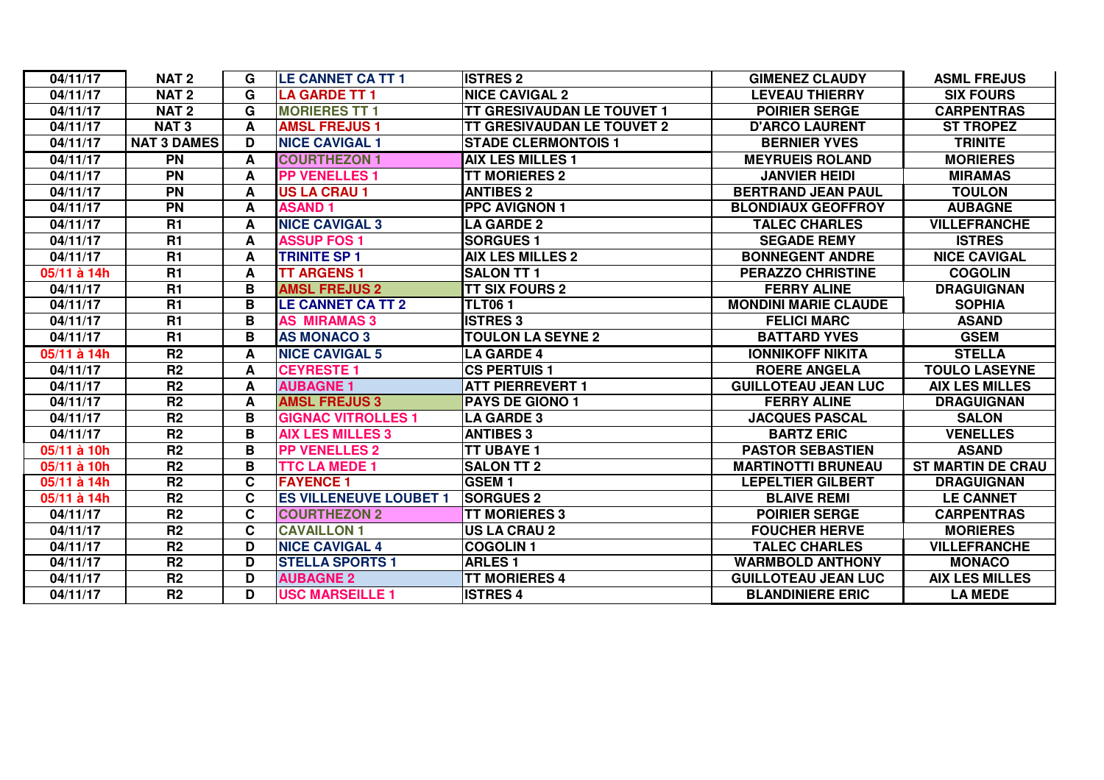| 04/11/17    | NAT <sub>2</sub>   | G | <b>LE CANNET CA TT 1</b>      | <b>ISTRES 2</b>                   | <b>GIMENEZ CLAUDY</b>       | <b>ASML FREJUS</b>       |
|-------------|--------------------|---|-------------------------------|-----------------------------------|-----------------------------|--------------------------|
| 04/11/17    | NAT <sub>2</sub>   | G | <b>LA GARDE TT 1</b>          | <b>NICE CAVIGAL 2</b>             | <b>LEVEAU THIERRY</b>       | <b>SIX FOURS</b>         |
| 04/11/17    | <b>NAT2</b>        | G | <b>MORIERES TT 1</b>          | <b>TT GRESIVAUDAN LE TOUVET 1</b> | <b>POIRIER SERGE</b>        | <b>CARPENTRAS</b>        |
| 04/11/17    | <b>NAT3</b>        | A | <b>AMSL FREJUS1</b>           | <b>TT GRESIVAUDAN LE TOUVET 2</b> | <b>D'ARCO LAURENT</b>       | <b>ST TROPEZ</b>         |
| 04/11/17    | <b>NAT 3 DAMES</b> | D | <b>NICE CAVIGAL 1</b>         | <b>STADE CLERMONTOIS 1</b>        | <b>BERNIER YVES</b>         | <b>TRINITE</b>           |
| 04/11/17    | <b>PN</b>          | A | <b>COURTHEZON 1</b>           | <b>AIX LES MILLES 1</b>           | <b>MEYRUEIS ROLAND</b>      | <b>MORIERES</b>          |
| 04/11/17    | <b>PN</b>          | A | <b>PP VENELLES 1</b>          | <b>TT MORIERES 2</b>              | <b>JANVIER HEIDI</b>        | <b>MIRAMAS</b>           |
| 04/11/17    | PN                 | A | <b>US LA CRAU 1</b>           | <b>ANTIBES 2</b>                  | <b>BERTRAND JEAN PAUL</b>   | <b>TOULON</b>            |
| 04/11/17    | PN                 | A | <b>ASAND1</b>                 | <b>PPC AVIGNON 1</b>              | <b>BLONDIAUX GEOFFROY</b>   | <b>AUBAGNE</b>           |
| 04/11/17    | $\overline{R1}$    | A | <b>NICE CAVIGAL 3</b>         | <b>LA GARDE 2</b>                 | <b>TALEC CHARLES</b>        | <b>VILLEFRANCHE</b>      |
| 04/11/17    | <b>R1</b>          | A | <b>ASSUP FOS 1</b>            | <b>SORGUES 1</b>                  | <b>SEGADE REMY</b>          | <b>ISTRES</b>            |
| 04/11/17    | <b>R1</b>          | A | <b>TRINITE SP 1</b>           | <b>AIX LES MILLES 2</b>           | <b>BONNEGENT ANDRE</b>      | <b>NICE CAVIGAL</b>      |
| 05/11 à 14h | <b>R1</b>          | A | <b>TT ARGENS 1</b>            | <b>SALON TT 1</b>                 | <b>PERAZZO CHRISTINE</b>    | <b>COGOLIN</b>           |
| 04/11/17    | <b>R1</b>          | В | <b>AMSL FREJUS 2</b>          | <b>TT SIX FOURS 2</b>             | <b>FERRY ALINE</b>          | <b>DRAGUIGNAN</b>        |
| 04/11/17    | <b>R1</b>          | в | <b>LE CANNET CA TT 2</b>      | <b>TLT061</b>                     | <b>MONDINI MARIE CLAUDE</b> | <b>SOPHIA</b>            |
| 04/11/17    | <b>R1</b>          | в | <b>AS MIRAMAS 3</b>           | <b>ISTRES 3</b>                   | <b>FELICI MARC</b>          | <b>ASAND</b>             |
| 04/11/17    | R1                 | B | <b>AS MONACO 3</b>            | <b>TOULON LA SEYNE 2</b>          | <b>BATTARD YVES</b>         | <b>GSEM</b>              |
| 05/11 à 14h | R <sub>2</sub>     | A | <b>NICE CAVIGAL 5</b>         | <b>LA GARDE 4</b>                 | <b>IONNIKOFF NIKITA</b>     | <b>STELLA</b>            |
| 04/11/17    | $\overline{R2}$    | A | <b>CEYRESTE 1</b>             | <b>CS PERTUIS 1</b>               | <b>ROERE ANGELA</b>         | <b>TOULO LASEYNE</b>     |
| 04/11/17    | R <sub>2</sub>     | A | <b>AUBAGNE 1</b>              | <b>ATT PIERREVERT 1</b>           | <b>GUILLOTEAU JEAN LUC</b>  | <b>AIX LES MILLES</b>    |
| 04/11/17    | R <sub>2</sub>     | A | <b>AMSL FREJUS 3</b>          | <b>PAYS DE GIONO 1</b>            | <b>FERRY ALINE</b>          | <b>DRAGUIGNAN</b>        |
| 04/11/17    | R <sub>2</sub>     | в | <b>GIGNAC VITROLLES 1</b>     | <b>LA GARDE 3</b>                 | <b>JACQUES PASCAL</b>       | <b>SALON</b>             |
| 04/11/17    | R <sub>2</sub>     | В | <b>AIX LES MILLES 3</b>       | <b>ANTIBES 3</b>                  | <b>BARTZ ERIC</b>           | <b>VENELLES</b>          |
| 05/11 à 10h | R <sub>2</sub>     | В | <b>PP VENELLES 2</b>          | <b>TT UBAYE 1</b>                 | <b>PASTOR SEBASTIEN</b>     | <b>ASAND</b>             |
| 05/11 à 10h | $\overline{R2}$    | B | <b>TTC LA MEDE 1</b>          | <b>SALON TT 2</b>                 | <b>MARTINOTTI BRUNEAU</b>   | <b>ST MARTIN DE CRAU</b> |
| 05/11 à 14h | R <sub>2</sub>     | C | <b>FAYENCE 1</b>              | <b>GSEM1</b>                      | <b>LEPELTIER GILBERT</b>    | <b>DRAGUIGNAN</b>        |
| 05/11 à 14h | R <sub>2</sub>     | C | <b>ES VILLENEUVE LOUBET 1</b> | <b>SORGUES 2</b>                  | <b>BLAIVE REMI</b>          | <b>LE CANNET</b>         |
| 04/11/17    | R <sub>2</sub>     | C | <b>COURTHEZON 2</b>           | <b>TT MORIERES 3</b>              | <b>POIRIER SERGE</b>        | <b>CARPENTRAS</b>        |
| 04/11/17    | R <sub>2</sub>     | C | <b>CAVAILLON 1</b>            | <b>US LA CRAU 2</b>               | <b>FOUCHER HERVE</b>        | <b>MORIERES</b>          |
| 04/11/17    | R <sub>2</sub>     | D | <b>NICE CAVIGAL 4</b>         | <b>COGOLIN1</b>                   | <b>TALEC CHARLES</b>        | <b>VILLEFRANCHE</b>      |
| 04/11/17    | R <sub>2</sub>     | D | <b>STELLA SPORTS 1</b>        | <b>ARLES1</b>                     | <b>WARMBOLD ANTHONY</b>     | <b>MONACO</b>            |
| 04/11/17    | R <sub>2</sub>     | D | <b>AUBAGNE 2</b>              | <b>TT MORIERES 4</b>              | <b>GUILLOTEAU JEAN LUC</b>  | <b>AIX LES MILLES</b>    |
| 04/11/17    | R <sub>2</sub>     | D | <b>USC MARSEILLE 1</b>        | <b>ISTRES 4</b>                   | <b>BLANDINIERE ERIC</b>     | <b>LA MEDE</b>           |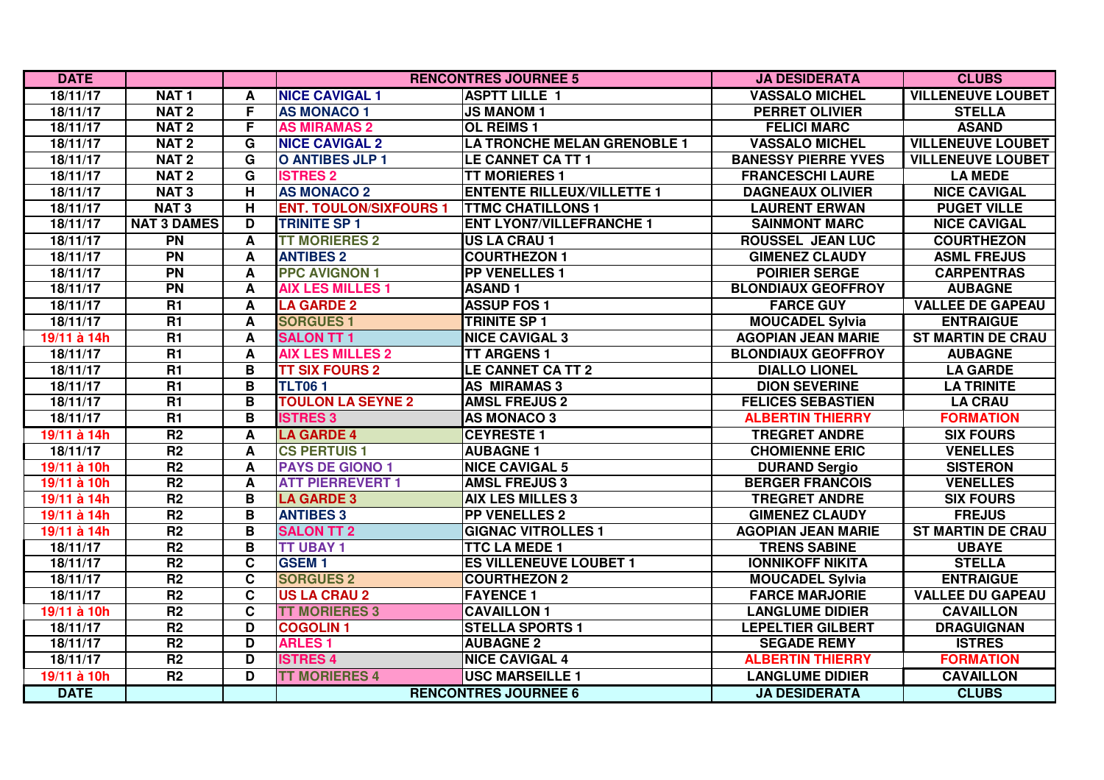| <b>DATE</b>   |                    |                         |                               | <b>RENCONTRES JOURNEE 5</b>        | <b>JA DESIDERATA</b>       | <b>CLUBS</b>             |
|---------------|--------------------|-------------------------|-------------------------------|------------------------------------|----------------------------|--------------------------|
| 18/11/17      | NAT <sub>1</sub>   | A                       | <b>NICE CAVIGAL 1</b>         | <b>ASPTT LILLE 1</b>               | <b>VASSALO MICHEL</b>      | <b>VILLENEUVE LOUBET</b> |
| 18/11/17      | NAT <sub>2</sub>   | F                       | <b>AS MONACO 1</b>            | <b>JS MANOM 1</b>                  | <b>PERRET OLIVIER</b>      | <b>STELLA</b>            |
| 18/11/17      | NAT <sub>2</sub>   | F                       | <b>AS MIRAMAS 2</b>           | <b>OL REIMS 1</b>                  | <b>FELICI MARC</b>         | <b>ASAND</b>             |
| 18/11/17      | NAT <sub>2</sub>   | G                       | <b>NICE CAVIGAL 2</b>         | <b>LA TRONCHE MELAN GRENOBLE 1</b> | <b>VASSALO MICHEL</b>      | <b>VILLENEUVE LOUBET</b> |
| 18/11/17      | NAT <sub>2</sub>   | G                       | <b>O ANTIBES JLP 1</b>        | LE CANNET CA TT 1                  | <b>BANESSY PIERRE YVES</b> | <b>VILLENEUVE LOUBET</b> |
| 18/11/17      | NAT <sub>2</sub>   | G                       | <b>ISTRES 2</b>               | <b>TT MORIERES 1</b>               | <b>FRANCESCHI LAURE</b>    | <b>LA MEDE</b>           |
| 18/11/17      | <b>NAT3</b>        | н                       | <b>AS MONACO 2</b>            | <b>ENTENTE RILLEUX/VILLETTE 1</b>  | <b>DAGNEAUX OLIVIER</b>    | <b>NICE CAVIGAL</b>      |
| 18/11/17      | <b>NAT3</b>        | H                       | <b>ENT. TOULON/SIXFOURS 1</b> | <b>TTMC CHATILLONS 1</b>           | <b>LAURENT ERWAN</b>       | <b>PUGET VILLE</b>       |
| 18/11/17      | <b>NAT 3 DAMES</b> | D                       | <b>TRINITE SP 1</b>           | <b>ENT LYON7/VILLEFRANCHE 1</b>    | <b>SAINMONT MARC</b>       | <b>NICE CAVIGAL</b>      |
| 18/11/17      | $\overline{PN}$    | A                       | <b>TT MORIERES 2</b>          | <b>US LA CRAU 1</b>                | ROUSSEL JEAN LUC           | <b>COURTHEZON</b>        |
| 18/11/17      | $\overline{PN}$    | A                       | <b>ANTIBES 2</b>              | <b>COURTHEZON 1</b>                | <b>GIMENEZ CLAUDY</b>      | <b>ASML FREJUS</b>       |
| 18/11/17      | $\overline{PN}$    | A                       | <b>PPC AVIGNON 1</b>          | <b>PP VENELLES 1</b>               | <b>POIRIER SERGE</b>       | <b>CARPENTRAS</b>        |
| 18/11/17      | $\overline{PN}$    | A                       | <b>AIX LES MILLES 1</b>       | <b>ASAND1</b>                      | <b>BLONDIAUX GEOFFROY</b>  | <b>AUBAGNE</b>           |
| 18/11/17      | R1                 | A                       | <b>LA GARDE 2</b>             | <b>ASSUP FOS 1</b>                 | <b>FARCE GUY</b>           | <b>VALLEE DE GAPEAU</b>  |
| 18/11/17      | $\overline{R1}$    | A                       | <b>SORGUES 1</b>              | TRINITE SP 1                       | <b>MOUCADEL Sylvia</b>     | <b>ENTRAIGUE</b>         |
| $19/11$ à 14h | $\overline{R1}$    | A                       | <b>SALON TT 1</b>             | <b>NICE CAVIGAL 3</b>              | <b>AGOPIAN JEAN MARIE</b>  | <b>ST MARTIN DE CRAU</b> |
| 18/11/17      | R1                 | A                       | <b>AIX LES MILLES 2</b>       | <b>TT ARGENS 1</b>                 | <b>BLONDIAUX GEOFFROY</b>  | <b>AUBAGNE</b>           |
| 18/11/17      | $\overline{R1}$    | B                       | <b>TT SIX FOURS 2</b>         | <b>LE CANNET CA TT 2</b>           | <b>DIALLO LIONEL</b>       | <b>LA GARDE</b>          |
| 18/11/17      | R1                 | $\mathbf B$             | <b>TLT061</b>                 | <b>AS MIRAMAS 3</b>                | <b>DION SEVERINE</b>       | <b>LA TRINITE</b>        |
| 18/11/17      | $\overline{R1}$    | B                       | <b>TOULON LA SEYNE 2</b>      | <b>AMSL FREJUS 2</b>               | <b>FELICES SEBASTIEN</b>   | <b>LA CRAU</b>           |
| 18/11/17      | R1                 | B                       | <b>ISTRES 3</b>               | <b>AS MONACO 3</b>                 | <b>ALBERTIN THIERRY</b>    | <b>FORMATION</b>         |
| 19/11 à 14h   | R <sub>2</sub>     | A                       | <b>LA GARDE 4</b>             | <b>CEYRESTE 1</b>                  | <b>TREGRET ANDRE</b>       | <b>SIX FOURS</b>         |
| 18/11/17      | R <sub>2</sub>     | A                       | <b>CS PERTUIS 1</b>           | <b>AUBAGNE 1</b>                   | <b>CHOMIENNE ERIC</b>      | <b>VENELLES</b>          |
| 19/11 à 10h   | R <sub>2</sub>     | A                       | <b>PAYS DE GIONO 1</b>        | <b>NICE CAVIGAL 5</b>              | <b>DURAND Sergio</b>       | <b>SISTERON</b>          |
| 19/11 à 10h   | R <sub>2</sub>     | A                       | <b>ATT PIERREVERT 1</b>       | <b>AMSL FREJUS 3</b>               | <b>BERGER FRANCOIS</b>     | <b>VENELLES</b>          |
| 19/11 à 14h   | R <sub>2</sub>     | B                       | <b>LA GARDE 3</b>             | <b>AIX LES MILLES 3</b>            | <b>TREGRET ANDRE</b>       | <b>SIX FOURS</b>         |
| 19/11 à 14h   | R <sub>2</sub>     | B                       | <b>ANTIBES 3</b>              | <b>PP VENELLES 2</b>               | <b>GIMENEZ CLAUDY</b>      | <b>FREJUS</b>            |
| 19/11 à 14h   | R <sub>2</sub>     | B                       | <b>SALON TT 2</b>             | <b>GIGNAC VITROLLES 1</b>          | <b>AGOPIAN JEAN MARIE</b>  | <b>ST MARTIN DE CRAU</b> |
| 18/11/17      | R <sub>2</sub>     | B                       | <b>TT UBAY 1</b>              | <b>TTC LA MEDE 1</b>               | <b>TRENS SABINE</b>        | <b>UBAYE</b>             |
| 18/11/17      | R <sub>2</sub>     | C                       | <b>GSEM1</b>                  | <b>ES VILLENEUVE LOUBET 1</b>      | <b>IONNIKOFF NIKITA</b>    | <b>STELLA</b>            |
| 18/11/17      | R <sub>2</sub>     | $\mathbf c$             | <b>SORGUES 2</b>              | <b>COURTHEZON 2</b>                | <b>MOUCADEL Sylvia</b>     | <b>ENTRAIGUE</b>         |
| 18/11/17      | R <sub>2</sub>     | $\overline{\mathbf{c}}$ | <b>US LA CRAU 2</b>           | <b>FAYENCE 1</b>                   | <b>FARCE MARJORIE</b>      | <b>VALLEE DU GAPEAU</b>  |
| 19/11 à 10h   | R <sub>2</sub>     | $\mathbf c$             | <b>TT MORIERES 3</b>          | <b>CAVAILLON 1</b>                 | <b>LANGLUME DIDIER</b>     | <b>CAVAILLON</b>         |
| 18/11/17      | R <sub>2</sub>     | D                       | <b>COGOLIN1</b>               | <b>STELLA SPORTS 1</b>             | <b>LEPELTIER GILBERT</b>   | <b>DRAGUIGNAN</b>        |
| 18/11/17      | R2                 | D                       | <b>ARLES1</b>                 | <b>AUBAGNE 2</b>                   | <b>SEGADE REMY</b>         | <b>ISTRES</b>            |
| 18/11/17      | R2                 | D                       | <b>ISTRES 4</b>               | <b>NICE CAVIGAL 4</b>              | <b>ALBERTIN THIERRY</b>    | <b>FORMATION</b>         |
| 19/11 à 10h   | R2                 | D                       | <b>TT MORIERES 4</b>          | <b>USC MARSEILLE 1</b>             | <b>LANGLUME DIDIER</b>     | <b>CAVAILLON</b>         |
| <b>DATE</b>   |                    |                         |                               | <b>RENCONTRES JOURNEE 6</b>        | <b>JA DESIDERATA</b>       | <b>CLUBS</b>             |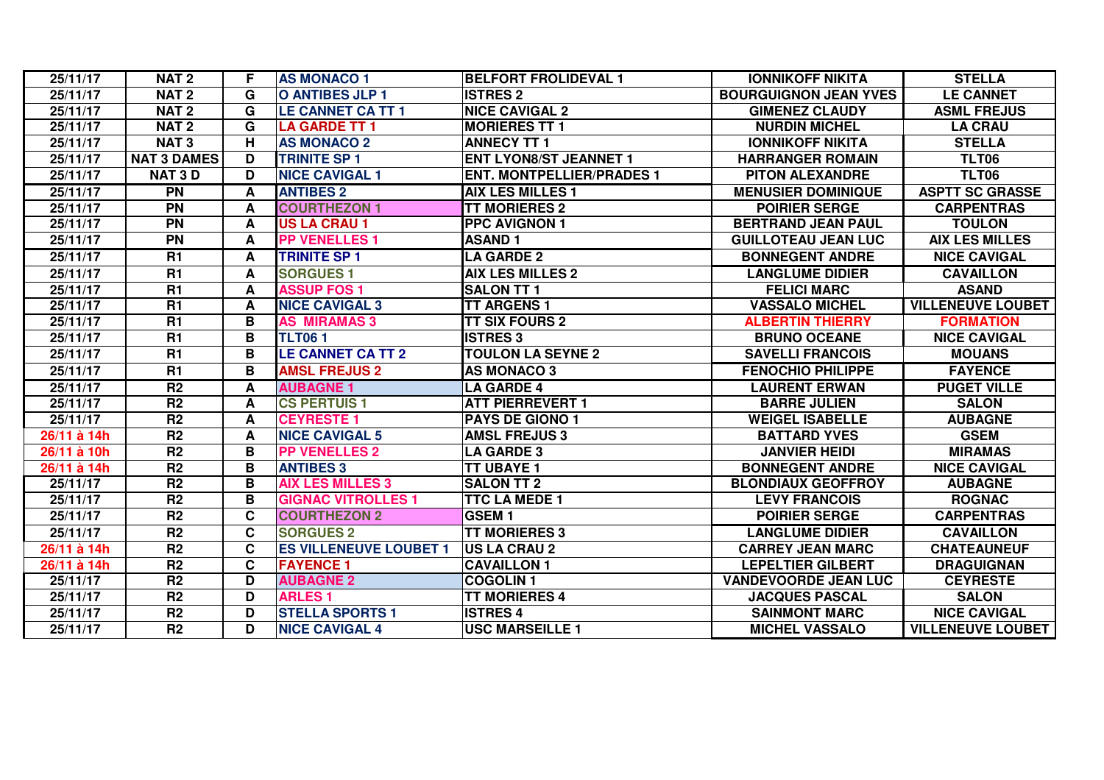| 25/11/17    | NAT <sub>2</sub>   | F. | <b>AS MONACO 1</b>            | <b>BELFORT FROLIDEVAL 1</b>      | <b>IONNIKOFF NIKITA</b>      | <b>STELLA</b>            |
|-------------|--------------------|----|-------------------------------|----------------------------------|------------------------------|--------------------------|
| 25/11/17    | <b>NAT2</b>        | G  | O ANTIBES JLP 1               | <b>ISTRES 2</b>                  | <b>BOURGUIGNON JEAN YVES</b> | <b>LE CANNET</b>         |
| 25/11/17    | NAT <sub>2</sub>   | G  | <b>LE CANNET CA TT 1</b>      | <b>NICE CAVIGAL 2</b>            | <b>GIMENEZ CLAUDY</b>        | <b>ASML FREJUS</b>       |
| 25/11/17    | NAT <sub>2</sub>   | G  | <b>LA GARDE TT 1</b>          | <b>MORIERES TT 1</b>             | <b>NURDIN MICHEL</b>         | <b>LA CRAU</b>           |
| 25/11/17    | <b>NAT3</b>        | H  | <b>AS MONACO 2</b>            | <b>ANNECY TT 1</b>               | <b>IONNIKOFF NIKITA</b>      | <b>STELLA</b>            |
| 25/11/17    | <b>NAT 3 DAMES</b> | D  | <b>TRINITE SP 1</b>           | <b>ENT LYON8/ST JEANNET 1</b>    | <b>HARRANGER ROMAIN</b>      | <b>TLT06</b>             |
| 25/11/17    | <b>NAT 3 D</b>     | D  | <b>NICE CAVIGAL 1</b>         | <b>ENT. MONTPELLIER/PRADES 1</b> | <b>PITON ALEXANDRE</b>       | <b>TLT06</b>             |
| 25/11/17    | <b>PN</b>          | A  | <b>ANTIBES 2</b>              | <b>AIX LES MILLES 1</b>          | <b>MENUSIER DOMINIQUE</b>    | <b>ASPTT SC GRASSE</b>   |
| 25/11/17    | <b>PN</b>          | A  | <b>COURTHEZON 1</b>           | <b>TT MORIERES 2</b>             | <b>POIRIER SERGE</b>         | <b>CARPENTRAS</b>        |
| 25/11/17    | <b>PN</b>          | A  | <b>US LA CRAU 1</b>           | <b>PPC AVIGNON 1</b>             | <b>BERTRAND JEAN PAUL</b>    | <b>TOULON</b>            |
| 25/11/17    | <b>PN</b>          | A  | <b>PP VENELLES 1</b>          | <b>ASAND1</b>                    | <b>GUILLOTEAU JEAN LUC</b>   | <b>AIX LES MILLES</b>    |
| 25/11/17    | <b>R1</b>          | A  | <b>TRINITE SP 1</b>           | <b>LA GARDE 2</b>                | <b>BONNEGENT ANDRE</b>       | <b>NICE CAVIGAL</b>      |
| 25/11/17    | R1                 | A  | <b>SORGUES 1</b>              | <b>AIX LES MILLES 2</b>          | <b>LANGLUME DIDIER</b>       | <b>CAVAILLON</b>         |
| 25/11/17    | R1                 | A  | <b>ASSUP FOS 1</b>            | <b>SALON TT 1</b>                | <b>FELICI MARC</b>           | <b>ASAND</b>             |
| 25/11/17    | R1                 | A  | <b>NICE CAVIGAL 3</b>         | <b>TT ARGENS 1</b>               | <b>VASSALO MICHEL</b>        | <b>VILLENEUVE LOUBET</b> |
| 25/11/17    | $\overline{R1}$    | B  | <b>AS MIRAMAS 3</b>           | <b>TT SIX FOURS 2</b>            | <b>ALBERTIN THIERRY</b>      | <b>FORMATION</b>         |
| 25/11/17    | $\overline{R1}$    | B  | <b>TLT061</b>                 | <b>ISTRES 3</b>                  | <b>BRUNO OCEANE</b>          | <b>NICE CAVIGAL</b>      |
| 25/11/17    | $\overline{R1}$    | B  | <b>LE CANNET CA TT 2</b>      | <b>TOULON LA SEYNE 2</b>         | <b>SAVELLI FRANCOIS</b>      | <b>MOUANS</b>            |
| 25/11/17    | R1                 | B  | <b>AMSL FREJUS 2</b>          | <b>AS MONACO 3</b>               | <b>FENOCHIO PHILIPPE</b>     | <b>FAYENCE</b>           |
| 25/11/17    | $\overline{R2}$    | A  | <b>AUBAGNE 1</b>              | <b>LA GARDE 4</b>                | <b>LAURENT ERWAN</b>         | <b>PUGET VILLE</b>       |
| 25/11/17    | R2                 | A  | <b>CS PERTUIS 1</b>           | <b>ATT PIERREVERT 1</b>          | <b>BARRE JULIEN</b>          | <b>SALON</b>             |
| 25/11/17    | R <sub>2</sub>     | A  | <b>CEYRESTE 1</b>             | <b>PAYS DE GIONO 1</b>           | <b>WEIGEL ISABELLE</b>       | <b>AUBAGNE</b>           |
| 26/11 à 14h | $\overline{R2}$    | A  | <b>NICE CAVIGAL 5</b>         | <b>AMSL FREJUS 3</b>             | <b>BATTARD YVES</b>          | <b>GSEM</b>              |
| 26/11 à 10h | R <sub>2</sub>     | B  | <b>PP VENELLES 2</b>          | <b>LA GARDE 3</b>                | <b>JANVIER HEIDI</b>         | <b>MIRAMAS</b>           |
| 26/11 à 14h | R <sub>2</sub>     | B  | <b>ANTIBES 3</b>              | <b>TT UBAYE 1</b>                | <b>BONNEGENT ANDRE</b>       | <b>NICE CAVIGAL</b>      |
| 25/11/17    | R <sub>2</sub>     | B  | <b>AIX LES MILLES 3</b>       | <b>SALON TT 2</b>                | <b>BLONDIAUX GEOFFROY</b>    | <b>AUBAGNE</b>           |
| 25/11/17    | R <sub>2</sub>     | B  | <b>GIGNAC VITROLLES 1</b>     | <b>TTC LA MEDE 1</b>             | <b>LEVY FRANCOIS</b>         | <b>ROGNAC</b>            |
| 25/11/17    | R <sub>2</sub>     | C  | <b>COURTHEZON 2</b>           | <b>GSEM1</b>                     | <b>POIRIER SERGE</b>         | <b>CARPENTRAS</b>        |
| 25/11/17    | R <sub>2</sub>     | C  | <b>SORGUES 2</b>              | <b>TT MORIERES 3</b>             | <b>LANGLUME DIDIER</b>       | <b>CAVAILLON</b>         |
| 26/11 à 14h | $\overline{R2}$    | C  | <b>ES VILLENEUVE LOUBET 1</b> | <b>US LA CRAU 2</b>              | <b>CARREY JEAN MARC</b>      | <b>CHATEAUNEUF</b>       |
| 26/11 à 14h | $\overline{R2}$    | C  | <b>FAYENCE 1</b>              | <b>CAVAILLON 1</b>               | <b>LEPELTIER GILBERT</b>     | <b>DRAGUIGNAN</b>        |
| 25/11/17    | R2                 | D  | <b>AUBAGNE 2</b>              | <b>COGOLIN1</b>                  | <b>VANDEVOORDE JEAN LUC</b>  | <b>CEYRESTE</b>          |
| 25/11/17    | $\overline{R2}$    | D  | <b>ARLES1</b>                 | <b>TT MORIERES 4</b>             | <b>JACQUES PASCAL</b>        | <b>SALON</b>             |
| 25/11/17    | R <sub>2</sub>     | D  | <b>STELLA SPORTS 1</b>        | <b>ISTRES 4</b>                  | <b>SAINMONT MARC</b>         | <b>NICE CAVIGAL</b>      |
| 25/11/17    | R <sub>2</sub>     | D  | <b>NICE CAVIGAL 4</b>         | <b>USC MARSEILLE 1</b>           | <b>MICHEL VASSALO</b>        | <b>VILLENEUVE LOUBET</b> |